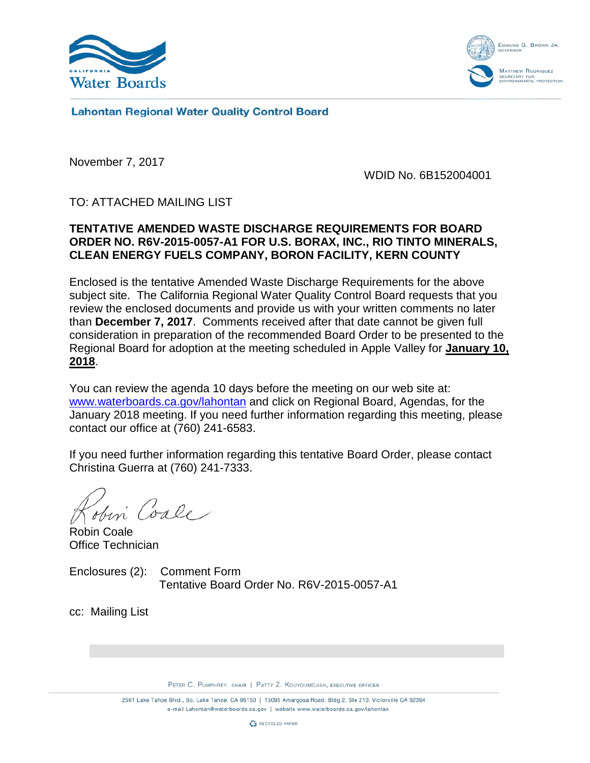



**Lahontan Regional Water Quality Control Board** 

November 7, 2017

WDID No. 6B152004001

TO: ATTACHED MAILING LIST

# **TENTATIVE AMENDED WASTE DISCHARGE REQUIREMENTS FOR BOARD ORDER NO. R6V-2015-0057-A1 FOR U.S. BORAX, INC., RIO TINTO MINERALS, CLEAN ENERGY FUELS COMPANY, BORON FACILITY, KERN COUNTY**

Enclosed is the tentative Amended Waste Discharge Requirements for the above subject site. The California Regional Water Quality Control Board requests that you review the enclosed documents and provide us with your written comments no later than **December 7, 2017**. Comments received after that date cannot be given full consideration in preparation of the recommended Board Order to be presented to the Regional Board for adoption at the meeting scheduled in Apple Valley for **January 10, 2018**.

You can review the agenda 10 days before the meeting on our web site at: [www.waterboards.ca.gov/lahontan](http://www.waterboards.ca.gov/lahontan) and click on Regional Board, Agendas, for the January 2018 meeting. If you need further information regarding this meeting, please contact our office at (760) 241-6583.

If you need further information regarding this tentative Board Order, please contact Christina Guerra at (760) 241-7333.

Robin Coale Office Technician

Enclosures (2): Comment Form Tentative Board Order No. R6V-2015-0057-A1

cc: Mailing List

PETER C. PUMPHREY, CHAIR | PATTY Z. KOUYOUMDJIAN, EXECUTIVE OFFICER

2501 Lake Tahoe Blvd., So. Lake Tahoe, CA 96150 | 15095 Amargosa Road, Bldg 2, Ste 210, Victorville CA 92394 e-mail Lahontan@waterboards.ca.gov | website www.waterboards.ca.gov/lahontan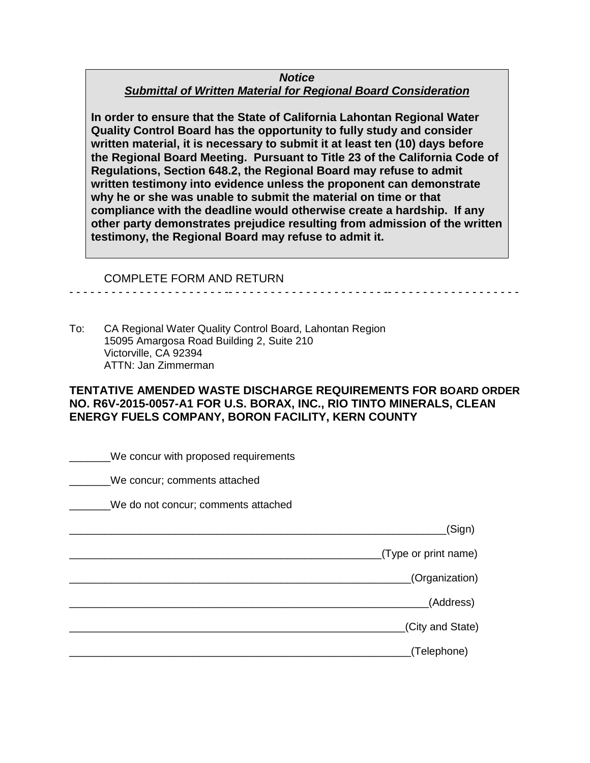### *Notice Submittal of Written Material for Regional Board Consideration*

**In order to ensure that the State of California Lahontan Regional Water Quality Control Board has the opportunity to fully study and consider written material, it is necessary to submit it at least ten (10) days before the Regional Board Meeting. Pursuant to Title 23 of the California Code of Regulations, Section 648.2, the Regional Board may refuse to admit written testimony into evidence unless the proponent can demonstrate why he or she was unable to submit the material on time or that compliance with the deadline would otherwise create a hardship. If any other party demonstrates prejudice resulting from admission of the written testimony, the Regional Board may refuse to admit it.**

#### COMPLETE FORM AND RETURN

To: CA Regional Water Quality Control Board, Lahontan Region 15095 Amargosa Road Building 2, Suite 210 Victorville, CA 92394 ATTN: Jan Zimmerman

#### **TENTATIVE AMENDED WASTE DISCHARGE REQUIREMENTS FOR BOARD ORDER NO. R6V-2015-0057-A1 FOR U.S. BORAX, INC., RIO TINTO MINERALS, CLEAN ENERGY FUELS COMPANY, BORON FACILITY, KERN COUNTY**

- - - - - - - - - - - - - - - - - - - - - - -- - - - - - - - - - - - - - - - - - - - - - -- - - - - - - - - - - - - - - - - - -

\_\_\_\_\_\_\_We concur with proposed requirements We concur; comments attached We do not concur; comments attached \_\_\_\_\_\_\_\_\_\_\_\_\_\_\_\_\_\_\_\_\_\_\_\_\_\_\_\_\_\_\_\_\_\_\_\_\_\_\_\_\_\_\_\_\_\_\_\_\_\_\_\_\_\_\_\_\_\_\_\_\_\_\_\_(Sign) \_\_\_\_\_\_\_\_\_\_\_\_\_\_\_\_\_\_\_\_\_\_\_\_\_\_\_\_\_\_\_\_\_\_\_\_\_\_\_\_\_\_\_\_\_\_\_\_\_\_\_\_\_(Type or print name) \_\_\_\_\_\_\_\_\_\_\_\_\_\_\_\_\_\_\_\_\_\_\_\_\_\_\_\_\_\_\_\_\_\_\_\_\_\_\_\_\_\_\_\_\_\_\_\_\_\_\_\_\_\_\_\_\_\_(Organization) \_\_\_\_\_\_\_\_\_\_\_\_\_\_\_\_\_\_\_\_\_\_\_\_\_\_\_\_\_\_\_\_\_\_\_\_\_\_\_\_\_\_\_\_\_\_\_\_\_\_\_\_\_\_\_\_\_\_\_\_\_(Address) \_\_\_\_\_\_\_\_\_\_\_\_\_\_\_\_\_\_\_\_\_\_\_\_\_\_\_\_\_\_\_\_\_\_\_\_\_\_\_\_\_\_\_\_\_\_\_\_\_\_\_\_\_\_\_\_\_(City and State) \_\_\_\_\_\_\_\_\_\_\_\_\_\_\_\_\_\_\_\_\_\_\_\_\_\_\_\_\_\_\_\_\_\_\_\_\_\_\_\_\_\_\_\_\_\_\_\_\_\_\_\_\_\_\_\_\_\_(Telephone)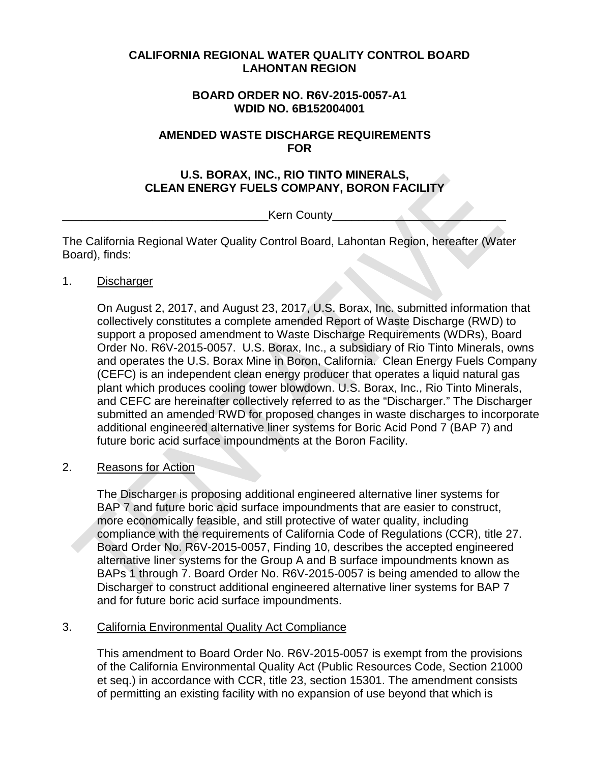### **CALIFORNIA REGIONAL WATER QUALITY CONTROL BOARD LAHONTAN REGION**

## **BOARD ORDER NO. R6V-2015-0057-A1 WDID NO. 6B152004001**

### **AMENDED WASTE DISCHARGE REQUIREMENTS FOR**

## **U.S. BORAX, INC., RIO TINTO MINERALS, CLEAN ENERGY FUELS COMPANY, BORON FACILITY**

Kern County

The California Regional Water Quality Control Board, Lahontan Region, hereafter (Water Board), finds:

1. Discharger

On August 2, 2017, and August 23, 2017, U.S. Borax, Inc. submitted information that collectively constitutes a complete amended Report of Waste Discharge (RWD) to support a proposed amendment to Waste Discharge Requirements (WDRs), Board Order No. R6V-2015-0057. U.S. Borax, Inc., a subsidiary of Rio Tinto Minerals, owns and operates the U.S. Borax Mine in Boron, California. Clean Energy Fuels Company (CEFC) is an independent clean energy producer that operates a liquid natural gas plant which produces cooling tower blowdown. U.S. Borax, Inc., Rio Tinto Minerals, and CEFC are hereinafter collectively referred to as the "Discharger." The Discharger submitted an amended RWD for proposed changes in waste discharges to incorporate additional engineered alternative liner systems for Boric Acid Pond 7 (BAP 7) and future boric acid surface impoundments at the Boron Facility.

## 2. Reasons for Action

The Discharger is proposing additional engineered alternative liner systems for BAP 7 and future boric acid surface impoundments that are easier to construct, more economically feasible, and still protective of water quality, including compliance with the requirements of California Code of Regulations (CCR), title 27. Board Order No. R6V-2015-0057, Finding 10, describes the accepted engineered alternative liner systems for the Group A and B surface impoundments known as BAPs 1 through 7. Board Order No. R6V-2015-0057 is being amended to allow the Discharger to construct additional engineered alternative liner systems for BAP 7 and for future boric acid surface impoundments.

## 3. California Environmental Quality Act Compliance

This amendment to Board Order No. R6V-2015-0057 is exempt from the provisions of the California Environmental Quality Act (Public Resources Code, Section 21000 et seq.) in accordance with CCR, title 23, section 15301. The amendment consists of permitting an existing facility with no expansion of use beyond that which is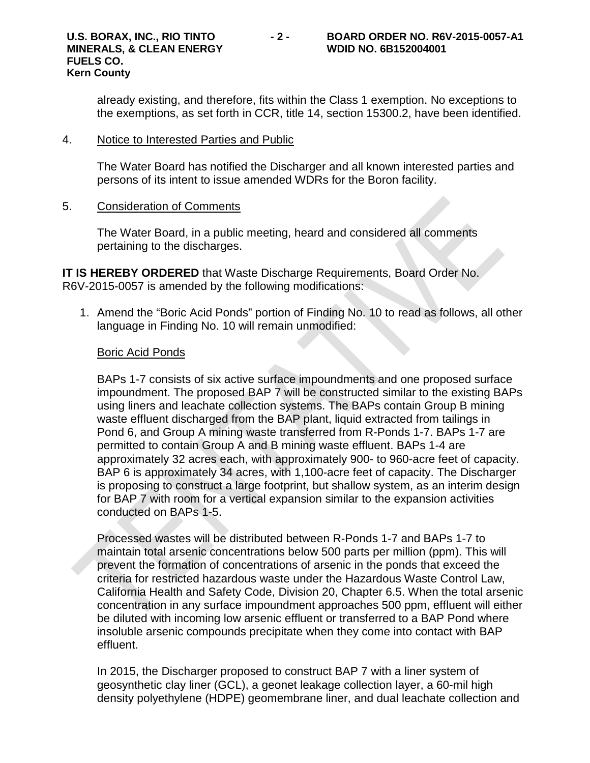already existing, and therefore, fits within the Class 1 exemption. No exceptions to the exemptions, as set forth in CCR, title 14, section 15300.2, have been identified.

#### 4. Notice to Interested Parties and Public

The Water Board has notified the Discharger and all known interested parties and persons of its intent to issue amended WDRs for the Boron facility.

#### 5. Consideration of Comments

The Water Board, in a public meeting, heard and considered all comments pertaining to the discharges.

**IT IS HEREBY ORDERED** that Waste Discharge Requirements, Board Order No. R6V-2015-0057 is amended by the following modifications:

1. Amend the "Boric Acid Ponds" portion of Finding No. 10 to read as follows, all other language in Finding No. 10 will remain unmodified:

#### Boric Acid Ponds

BAPs 1-7 consists of six active surface impoundments and one proposed surface impoundment. The proposed BAP 7 will be constructed similar to the existing BAPs using liners and leachate collection systems. The BAPs contain Group B mining waste effluent discharged from the BAP plant, liquid extracted from tailings in Pond 6, and Group A mining waste transferred from R-Ponds 1-7. BAPs 1-7 are permitted to contain Group A and B mining waste effluent. BAPs 1-4 are approximately 32 acres each, with approximately 900- to 960-acre feet of capacity. BAP 6 is approximately 34 acres, with 1,100-acre feet of capacity. The Discharger is proposing to construct a large footprint, but shallow system, as an interim design for BAP 7 with room for a vertical expansion similar to the expansion activities conducted on BAPs 1-5.

Processed wastes will be distributed between R-Ponds 1-7 and BAPs 1-7 to maintain total arsenic concentrations below 500 parts per million (ppm). This will prevent the formation of concentrations of arsenic in the ponds that exceed the criteria for restricted hazardous waste under the Hazardous Waste Control Law, California Health and Safety Code, Division 20, Chapter 6.5. When the total arsenic concentration in any surface impoundment approaches 500 ppm, effluent will either be diluted with incoming low arsenic effluent or transferred to a BAP Pond where insoluble arsenic compounds precipitate when they come into contact with BAP effluent.

In 2015, the Discharger proposed to construct BAP 7 with a liner system of geosynthetic clay liner (GCL), a geonet leakage collection layer, a 60-mil high density polyethylene (HDPE) geomembrane liner, and dual leachate collection and